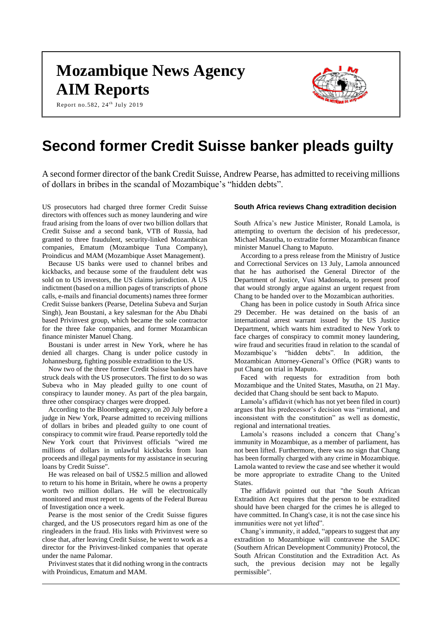# **Mozambique News Agency AIM Reports**

Report no.582, 24<sup>th</sup> July 2019



## **Second former Credit Suisse banker pleads guilty**

A second former director of the bank Credit Suisse, Andrew Pearse, has admitted to receiving millions of dollars in bribes in the scandal of Mozambique's "hidden debts".

US prosecutors had charged three former Credit Suisse directors with offences such as money laundering and wire fraud arising from the loans of over two billion dollars that Credit Suisse and a second bank, VTB of Russia, had granted to three fraudulent, security-linked Mozambican companies, Ematum (Mozambique Tuna Company), Proindicus and MAM (Mozambique Asset Management).

Because US banks were used to channel bribes and kickbacks, and because some of the fraudulent debt was sold on to US investors, the US claims jurisdiction. A US indictment (based on a million pages of transcripts of phone calls, e-mails and financial documents) names three former Credit Suisse bankers (Pearse, Detelina Subeva and Surjan Singh), Jean Boustani, a key salesman for the Abu Dhabi based Privinvest group, which became the sole contractor for the three fake companies, and former Mozambican finance minister Manuel Chang.

Boustani is under arrest in New York, where he has denied all charges. Chang is under police custody in Johannesburg, fighting possible extradition to the US.

Now two of the three former Credit Suisse bankers have struck deals with the US prosecutors. The first to do so was Subeva who in May pleaded guilty to one count of conspiracy to launder money. As part of the plea bargain, three other conspiracy charges were dropped.

According to the Bloomberg agency, on 20 July before a judge in New York, Pearse admitted to receiving millions of dollars in bribes and pleaded guilty to one count of conspiracy to commit wire fraud. Pearse reportedly told the New York court that Privinvest officials "wired me millions of dollars in unlawful kickbacks from loan proceeds and illegal payments for my assistance in securing loans by Credit Suisse".

He was released on bail of US\$2.5 million and allowed to return to his home in Britain, where he owns a property worth two million dollars. He will be electronically monitored and must report to agents of the Federal Bureau of Investigation once a week.

Pearse is the most senior of the Credit Suisse figures charged, and the US prosecutors regard him as one of the ringleaders in the fraud. His links with Privinvest were so close that, after leaving Credit Suisse, he went to work as a director for the Privinvest-linked companies that operate under the name Palomar.

Privinvest states that it did nothing wrong in the contracts with Proindicus, Ematum and MAM.

## **South Africa reviews Chang extradition decision**

South Africa's new Justice Minister, Ronald Lamola, is attempting to overturn the decision of his predecessor, Michael Masutha, to extradite former Mozambican finance minister Manuel Chang to Maputo.

According to a press release from the Ministry of Justice and Correctional Services on 13 July, Lamola announced that he has authorised the General Director of the Department of Justice, Vusi Madonsela, to present proof that would strongly argue against an urgent request from Chang to be handed over to the Mozambican authorities.

Chang has been in police custody in South Africa since 29 December. He was detained on the basis of an international arrest warrant issued by the US Justice Department, which wants him extradited to New York to face charges of conspiracy to commit money laundering, wire fraud and securities fraud in relation to the scandal of Mozambique's "hidden debts". In addition, the Mozambican Attorney-General's Office (PGR) wants to put Chang on trial in Maputo.

Faced with requests for extradition from both Mozambique and the United States, Masutha, on 21 May. decided that Chang should be sent back to Maputo.

Lamola's affidavit (which has not yet been filed in court) argues that his predecessor's decision was "irrational, and inconsistent with the constitution" as well as domestic, regional and international treaties.

Lamola's reasons included a concern that Chang's immunity in Mozambique, as a member of parliament, has not been lifted. Furthermore, there was no sign that Chang has been formally charged with any crime in Mozambique. Lamola wanted to review the case and see whether it would be more appropriate to extradite Chang to the United States.

The affidavit pointed out that "the South African Extradition Act requires that the person to be extradited should have been charged for the crimes he is alleged to have committed. In Chang's case, it is not the case since his immunities were not yet lifted".

Chang's immunity, it added, "appears to suggest that any extradition to Mozambique will contravene the SADC (Southern African Development Community) Protocol, the South African Constitution and the Extradition Act. As such, the previous decision may not be legally permissible".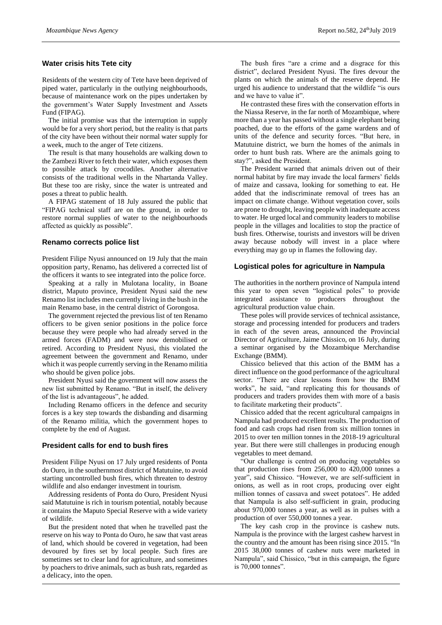## **Water crisis hits Tete city**

Residents of the western city of Tete have been deprived of piped water, particularly in the outlying neighbourhoods, because of maintenance work on the pipes undertaken by the government's Water Supply Investment and Assets Fund (FIPAG).

The initial promise was that the interruption in supply would be for a very short period, but the reality is that parts of the city have been without their normal water supply for a week, much to the anger of Tete citizens.

The result is that many households are walking down to the Zambezi River to fetch their water, which exposes them to possible attack by crocodiles. Another alternative consists of the traditional wells in the Nhartanda Valley. But these too are risky, since the water is untreated and poses a threat to public health.

A FIPAG statement of 18 July assured the public that "FIPAG technical staff are on the ground, in order to restore normal supplies of water to the neighbourhoods affected as quickly as possible".

#### **Renamo corrects police list**

President Filipe Nyusi announced on 19 July that the main opposition party, Renamo, has delivered a corrected list of the officers it wants to see integrated into the police force.

Speaking at a rally in Mulotana locality, in Boane district, Maputo province, President Nyusi said the new Renamo list includes men currently living in the bush in the main Renamo base, in the central district of Gorongosa.

The government rejected the previous list of ten Renamo officers to be given senior positions in the police force because they were people who had already served in the armed forces (FADM) and were now demobilised or retired. According to President Nyusi, this violated the agreement between the government and Renamo, under which it was people currently serving in the Renamo militia who should be given police jobs.

President Nyusi said the government will now assess the new list submitted by Renamo. "But in itself, the delivery of the list is advantageous", he added.

Including Renamo officers in the defence and security forces is a key step towards the disbanding and disarming of the Renamo militia, which the government hopes to complete by the end of August.

#### **President calls for end to bush fires**

President Filipe Nyusi on 17 July urged residents of Ponta do Ouro, in the southernmost district of Matutuine, to avoid starting uncontrolled bush fires, which threaten to destroy wildlife and also endanger investment in tourism.

Addressing residents of Ponta do Ouro, President Nyusi said Matutuine is rich in tourism potential, notably because it contains the Maputo Special Reserve with a wide variety of wildlife.

But the president noted that when he travelled past the reserve on his way to Ponta do Ouro, he saw that vast areas of land, which should be covered in vegetation, had been devoured by fires set by local people. Such fires are sometimes set to clear land for agriculture, and sometimes by poachers to drive animals, such as bush rats, regarded as a delicacy, into the open.

The bush fires "are a crime and a disgrace for this district", declared President Nyusi. The fires devour the plants on which the animals of the reserve depend. He urged his audience to understand that the wildlife "is ours and we have to value it".

He contrasted these fires with the conservation efforts in the Niassa Reserve, in the far north of Mozambique, where more than a year has passed without a single elephant being poached, due to the efforts of the game wardens and of units of the defence and security forces. "But here, in Matutuine district, we burn the homes of the animals in order to hunt bush rats. Where are the animals going to stay?", asked the President.

The President warned that animals driven out of their normal habitat by fire may invade the local farmers' fields of maize and cassava, looking for something to eat. He added that the indiscriminate removal of trees has an impact on climate change. Without vegetation cover, soils are prone to drought, leaving people with inadequate access to water. He urged local and community leaders to mobilise people in the villages and localities to stop the practice of bush fires. Otherwise, tourists and investors will be driven away because nobody will invest in a place where everything may go up in flames the following day.

### **Logistical poles for agriculture in Nampula**

The authorities in the northern province of Nampula intend this year to open seven "logistical poles" to provide integrated assistance to producers throughout the agricultural production value chain.

These poles will provide services of technical assistance, storage and processing intended for producers and traders in each of the seven areas, announced the Provincial Director of Agriculture, Jaime Chissico, on 16 July, during a seminar organised by the Mozambique Merchandise Exchange (BMM).

Chissico believed that this action of the BMM has a direct influence on the good performance of the agricultural sector. "There are clear lessons from how the BMM works", he said, "and replicating this for thousands of producers and traders provides them with more of a basis to facilitate marketing their products".

Chissico added that the recent agricultural campaigns in Nampula had produced excellent results. The production of food and cash crops had risen from six million tonnes in 2015 to over ten million tonnes in the 2018-19 agricultural year. But there were still challenges in producing enough vegetables to meet demand.

"Our challenge is centred on producing vegetables so that production rises from 256,000 to 420,000 tonnes a year", said Chissico. "However, we are self-sufficient in onions, as well as in root crops, producing over eight million tonnes of cassava and sweet potatoes". He added that Nampula is also self-sufficient in grain, producing about 970,000 tonnes a year, as well as in pulses with a production of over 550,000 tonnes a year.

The key cash crop in the province is cashew nuts. Nampula is the province with the largest cashew harvest in the country and the amount has been rising since 2015. "In 2015 38,000 tonnes of cashew nuts were marketed in Nampula", said Chissico, "but in this campaign, the figure is 70,000 tonnes".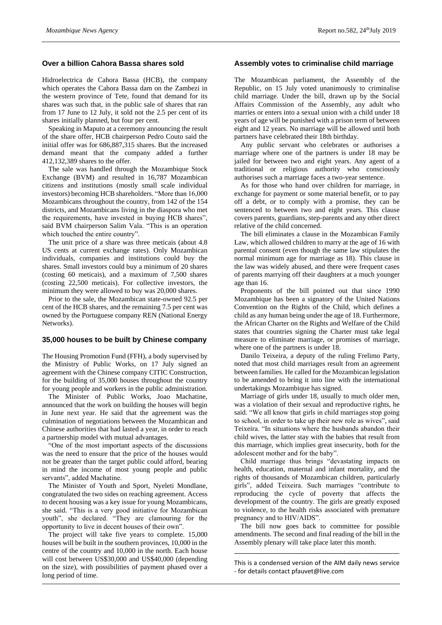## **Over a billion Cahora Bassa shares sold**

Hidroelectrica de Cahora Bassa (HCB), the company which operates the Cahora Bassa dam on the Zambezi in the western province of Tete, found that demand for its shares was such that, in the public sale of shares that ran from 17 June to 12 July, it sold not the 2.5 per cent of its shares initially planned, but four per cent.

Speaking in Maputo at a ceremony announcing the result of the share offer, HCB chairperson Pedro Couto said the initial offer was for 686,887,315 shares. But the increased demand meant that the company added a further 412,132,389 shares to the offer.

The sale was handled through the Mozambique Stock Exchange (BVM) and resulted in 16,787 Mozambican citizens and institutions (mostly small scale individual investors) becoming HCB shareholders. "More than 16,000 Mozambicans throughout the country, from 142 of the 154 districts, and Mozambicans living in the diaspora who met the requirements, have invested in buying HCB shares", said BVM chairperson Salim Vala. "This is an operation which touched the entire country".

The unit price of a share was three meticais (about 4.8 US cents at current exchange rates). Only Mozambican individuals, companies and institutions could buy the shares. Small investors could buy a minimum of 20 shares (costing 60 meticais), and a maximum of 7,500 shares (costing 22,500 meticais). For collective investors, the minimum they were allowed to buy was 20,000 shares.

Prior to the sale, the Mozambican state-owned 92.5 per cent of the HCB shares, and the remaining 7.5 per cent was owned by the Portuguese company REN (National Energy Networks).

## **35,000 houses to be built by Chinese company**

The Housing Promotion Fund (FFH), a body supervised by the Ministry of Public Works, on 17 July signed an agreement with the Chinese company CITIC Construction, for the building of 35,000 houses throughout the country for young people and workers in the public administration.

The Minister of Public Works, Joao Machatine, announced that the work on building the houses will begin in June next year. He said that the agreement was the culmination of negotiations between the Mozambican and Chinese authorities that had lasted a year, in order to reach a partnership model with mutual advantages.

"One of the most important aspects of the discussions was the need to ensure that the price of the houses would not be greater than the target public could afford, bearing in mind the income of most young people and public servants", added Machatine.

The Minister of Youth and Sport, Nyeleti Mondlane, congratulated the two sides on reaching agreement. Access to decent housing was a key issue for young Mozambicans, she said. "This is a very good initiative for Mozambican youth", she declared. "They are clamouring for the opportunity to live in decent houses of their own".

The project will take five years to complete. 15,000 houses will be built in the southern provinces, 10,000 in the centre of the country and 10,000 in the north. Each house will cost between US\$30,000 and US\$40,000 (depending on the size), with possibilities of payment phased over a long period of time.

### **Assembly votes to criminalise child marriage**

The Mozambican parliament, the Assembly of the Republic, on 15 July voted unanimously to criminalise child marriage. Under the bill, drawn up by the Social Affairs Commission of the Assembly, any adult who marries or enters into a sexual union with a child under 18 years of age will be punished with a prison term of between eight and 12 years. No marriage will be allowed until both partners have celebrated their 18th birthday.

Any public servant who celebrates or authorises a marriage where one of the partners is under 18 may be jailed for between two and eight years. Any agent of a traditional or religious authority who consciously authorises such a marriage faces a two-year sentence.

As for those who hand over children for marriage, in exchange for payment or some material benefit, or to pay off a debt, or to comply with a promise, they can be sentenced to between two and eight years. This clause covers parents, guardians, step-parents and any other direct relative of the child concerned.

The bill eliminates a clause in the Mozambican Family Law, which allowed children to marry at the age of 16 with parental consent (even though the same law stipulates the normal minimum age for marriage as 18). This clause in the law was widely abused, and there were frequent cases of parents marrying off their daughters at a much younger age than 16.

Proponents of the bill pointed out that since 1990 Mozambique has been a signatory of the United Nations Convention on the Rights of the Child, which defines a child as any human being under the age of 18. Furthermore, the African Charter on the Rights and Welfare of the Child states that countries signing the Charter must take legal measure to eliminate marriage, or promises of marriage, where one of the partners is under 18.

Danilo Teixeira, a deputy of the ruling Frelimo Party, noted that most child marriages result from an agreement between families. He called for the Mozambican legislation to be amended to bring it into line with the international undertakings Mozambique has signed.

Marriage of girls under 18, usually to much older men, was a violation of their sexual and reproductive rights, he said. "We all know that girls in child marriages stop going to school, in order to take up their new role as wives", said Teixeira. "In situations where the husbands abandon their child wives, the latter stay with the babies that result from this marriage, which implies great insecurity, both for the adolescent mother and for the baby".

Child marriage thus brings "devastating impacts on health, education, maternal and infant mortality, and the rights of thousands of Mozambican children, particularly girls", added Teixeira. Such marriages "contribute to reproducing the cycle of poverty that affects the development of the country. The girls are greatly exposed to violence, to the health risks associated with premature pregnancy and to HIV/AIDS".

The bill now goes back to committee for possible amendments. The second and final reading of the bill in the Assembly plenary will take place later this month.

This is a condensed version of the AIM daily news service - for details contact pfauvet@live.com

\_\_\_\_\_\_\_\_\_\_\_\_\_\_\_\_\_\_\_\_\_\_\_\_\_\_\_\_\_\_\_\_\_\_\_\_\_\_\_\_\_\_\_\_\_\_\_